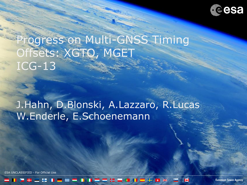

# Progress on Multi-GNSS Timing Offsets: XGTO, MGET ICG-13

## J.Hahn, D.Blonski, A.Lazzaro, R.Lucas W.Enderle, E.Schoenemann

JNCLASSIFIED - For Official Use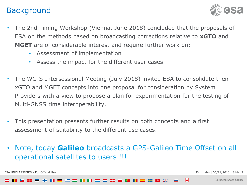#### Background



- The 2nd Timing Workshop (Vienna, June 2018) concluded that the proposals of ESA on the methods based on broadcasting corrections relative to **xGTO** and **MGET** are of considerable interest and require further work on:
	- Assessment of implementation
	- Assess the impact for the different user cases.
- The WG-S Intersessional Meeting (July 2018) invited ESA to consolidate their xGTO and MGET concepts into one proposal for consideration by System Providers with a view to propose a plan for experimentation for the testing of Multi-GNSS time interoperability.
- This presentation presents further results on both concepts and a first assessment of suitability to the different use cases.
- Note, today **Galileo** broadcasts a GPS-Galileo Time Offset on all operational satellites to users !!!

ESA UNCLASSIFIED - For Official Use Jörg Hahn | 06/11/2018 | Slide 2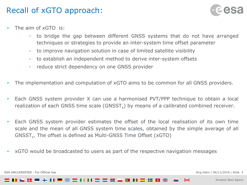#### Recall of xGTO approach:



- The aim of xGTO is:
	- to bridge the gap between different GNSS systems that do not have arranged techniques or strategies to provide an inter-system time offset parameter
	- to improve navigation solution in case of limited satellite visibility
	- to establish an independent method to derive inter-system offsets
	- reduce strict dependency on one GNSS provider
- The implementation and computation of xGTO aims to be common for all GNSS providers.
- Each GNSS system provider X can use a harmonised PVT/PPP technique to obtain a local realization of each GNSS time scale (GNSST<sub>x</sub>) by means of a calibrated combined receiver.
- Each GNSS system provider estimates the offset of the local realisation of its own time scale and the mean of all GNSS system time scales, obtained by the simple average of all  $GNSST_x$ . The offset is defined as Multi-GNSS Time Offset (xGTO)
- xGTO would be broadcasted to users as part of the respective navigation messages

ESA UNCLASSIFIED - For Official Use Jörg Hahn | 06/11/2018 | Slide 3

I÷.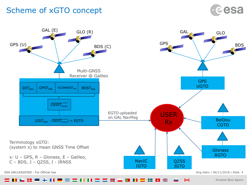#### Scheme of xGTO concept



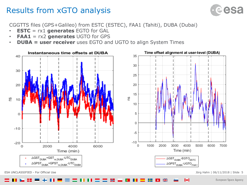#### Results from xGTO analysis



CGGTTS files (GPS+Galileo) from ESTC (ESTEC), FAA1 (Tahiti), DUBA (Dubai)

- **ESTC** = rx1 **generates** EGTO for GAL
- **FAA1** = rx2 **generates** UGTO for GPS
- **DUBA = user receiver** uses EGTO and UGTO to align System Times





 $\blacktriangleright$ 

ESA UNCLASSIFIED - For Official Use Jörg Hahn | 06/11/2018 | Slide 5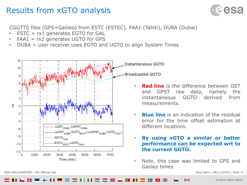#### Results from xGTO analysis



CGGTTS files (GPS+Galileo) from ESTC (ESTEC), FAA1 (Tahiti), DUBA (Dubai)

- $ESTC = r \times 1$  generates EGTO for GAL
- $FAA1 = rx2$  generates UGTO for GPS
- DUBA = user receiver uses EGTO and UGTO to align System Times



Instantaneous GGTO

Broadcasted GGTO

- **Red line** is the difference between GST and GPST raw data, namely the instantaneous GGTO derived from measurements.
- **Blue line** is an indication of the residual error for the time offset estimation at different locations.
- **By using xGTO a similar or better performance can be expected wrt to the current GGTO.**
- Note, this case was limited to GPS and Galileo times

IФI

ESA UNCLASSIFIED - For Official Use Jörg Hahn | 06/11/2018 | Slide 6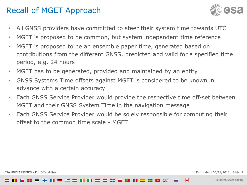#### Recall of MGET Approach



- All GNSS providers have committed to steer their system time towards UTC
- MGET is proposed to be common, but system independent time reference
- MGET is proposed to be an ensemble paper time, generated based on contributions from the different GNSS, predicted and valid for a specified time period, e.g. 24 hours
- MGET has to be generated, provided and maintained by an entity
- GNSS Systems Time offsets against MGET is considered to be known in advance with a certain accuracy
- Each GNSS Service Provider would provide the respective time off-set between MGET and their GNSS System Time in the navigation message
- Each GNSS Service Provider would be solely responsible for computing their offset to the common time scale - MGET

M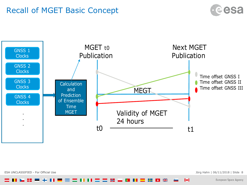#### Recall of MGET Basic Concept





ESA UNCLASSIFIED - For Official Use Jörg Hahn | 06/11/2018 | Slide 8

 $\blacktriangleright$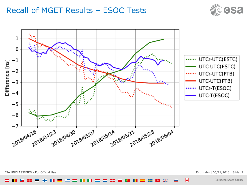#### Recall of MGET Results – ESOC Tests





ESA UNCLASSIFIED - For Official Use Jörg Hahn | 06/11/2018 | Slide 9

 $\blacktriangleright$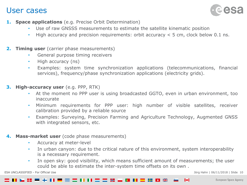#### User cases



- **1. Space applications** (e.g. Precise Orbit Determination)
	- Use of raw GNSSS measurements to estimate the satellite kinematic position
	- High accuracy and precision requirements: orbit accuracy < 5 cm, clock below 0.1 ns.
- **2. Timing user** (carrier phase measurements)
	- General purpose timing receivers
	- High accuracy (ns)
	- Examples: system time synchronization applications (telecommunications, financial services), frequency/phase synchronization applications (electricity grids).
- **3. High-accuracy user** (e.g. PPP, RTK)
	- At the moment no PPP user is using broadcasted GGTO, even in urban environment, too inaccurate
	- Minimum requirements for PPP user: high number of visible satellites, receiver calibration provided by a reliable source
	- Examples: Surveying, Precision Farming and Agriculture Technology, Augmented GNSS with integrated sensors, etc.
- **4. Mass-market user** (code phase measurements)
	- Accuracy at meter-level
	- In urban canyon: due to the critical nature of this environment, system interoperability is a necessary requirement.
	- In open sky: good visibility, which means sufficient amount of measurements; the user could be able to estimate the inter-system time offsets on its own .

ESA UNCLASSIFIED - For Official Use  $\qquad \qquad$  10  $\qquad$  10  $\qquad$  30  $\qquad$  30  $\qquad$  30  $\qquad$  30  $\qquad$  40  $\qquad$  30  $\qquad$  40  $\qquad$  30  $\qquad$  40  $\qquad$  30  $\qquad$  40  $\qquad$  30  $\qquad$  40  $\qquad$  40  $\qquad$  40  $\qquad$  40  $\qquad$  40  $\qquad$  40  $\q$ 

-l+l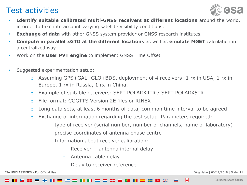#### Test activities



- **Identify suitable calibrated multi-GNSS receivers at different locations** around the world, in order to take into account varying satellite visibility conditions.
- **Exchange of data** with other GNSS system provider or GNSS research institutes.
- **Compute in parallel xGTO at the different locations** as well as **emulate MGET** calculation in a centralized way.
- Work on the **User PVT engine** to implement GNSS Time Offset !
- Suggested experimentation setup:
	- Assuming GPS+GAL+GLO+BDS, deployment of 4 receivers: 1 rx in USA, 1 rx in Europe, 1 rx in Russia, 1 rx in China.
	- o Example of suitable receivers: SEPT POLARX4TR / SEPT POLARX5TR
	- o File format: CGGTTS Version 2E files or RINEX
	- o Long data sets, at least 6 months of data, common time interval to be agreed
	- o Exchange of information regarding the test setup. Parameters required:
		- type of receiver (serial number, number of channels, name of laboratory)
		- precise coordinates of antenna phase centre
		- Information about receiver calibration:
			- Receiver + antenna internal delay
			- Antenna cable delay
			- Delay to receiver reference

ESA UNCLASSIFIED - For Official Use Journal of the Same Handle State 11 and the USA UNCLASSIFIED - For Official Use

Н

 $+1$ 

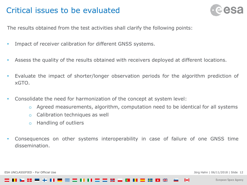#### Critical issues to be evaluated



The results obtained from the test activities shall clarify the following points:

- Impact of receiver calibration for different GNSS systems.
- Assess the quality of the results obtained with receivers deployed at different locations.
- Evaluate the impact of shorter/longer observation periods for the algorithm prediction of xGTO.
- Consolidate the need for harmonization of the concept at system level:
	- o Agreed measurements, algorithm, computation need to be identical for all systems
	- o Calibration techniques as well
	- o Handling of outliers
- Consequences on other systems interoperability in case of failure of one GNSS time dissemination.

I÷.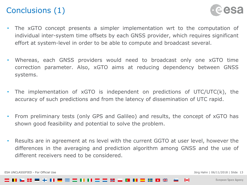### Conclusions (1)



- The xGTO concept presents a simpler implementation wrt to the computation of individual inter-system time offsets by each GNSS provider, which requires significant effort at system-level in order to be able to compute and broadcast several.
- Whereas, each GNSS providers would need to broadcast only one xGTO time correction parameter. Also, xGTO aims at reducing dependency between GNSS systems.
- The implementation of  $xGTO$  is independent on predictions of  $UTC/UTC(k)$ , the accuracy of such predictions and from the latency of dissemination of UTC rapid.
- From preliminary tests (only GPS and Galileo) and results, the concept of xGTO has shown good feasibility and potential to solve the problem.
- Results are in agreement at ns level with the current GGTO at user level, however the differences in the averaging and prediction algorithm among GNSS and the use of different receivers need to be considered.

ESA UNCLASSIFIED - For Official Use  $\qquad \qquad$  13